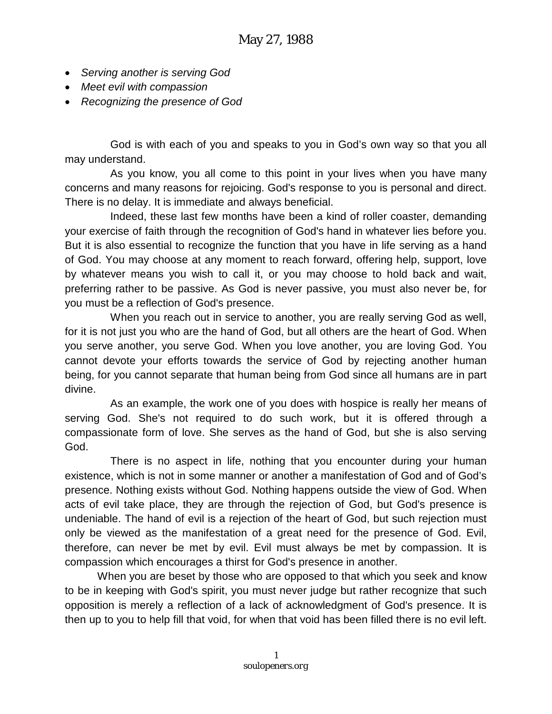- *Serving another is serving God*
- *Meet evil with compassion*
- *Recognizing the presence of God*

God is with each of you and speaks to you in God's own way so that you all may understand.

As you know, you all come to this point in your lives when you have many concerns and many reasons for rejoicing. God's response to you is personal and direct. There is no delay. It is immediate and always beneficial.

Indeed, these last few months have been a kind of roller coaster, demanding your exercise of faith through the recognition of God's hand in whatever lies before you. But it is also essential to recognize the function that you have in life serving as a hand of God. You may choose at any moment to reach forward, offering help, support, love by whatever means you wish to call it, or you may choose to hold back and wait, preferring rather to be passive. As God is never passive, you must also never be, for you must be a reflection of God's presence.

When you reach out in service to another, you are really serving God as well, for it is not just you who are the hand of God, but all others are the heart of God. When you serve another, you serve God. When you love another, you are loving God. You cannot devote your efforts towards the service of God by rejecting another human being, for you cannot separate that human being from God since all humans are in part divine.

As an example, the work one of you does with hospice is really her means of serving God. She's not required to do such work, but it is offered through a compassionate form of love. She serves as the hand of God, but she is also serving God.

There is no aspect in life, nothing that you encounter during your human existence, which is not in some manner or another a manifestation of God and of God's presence. Nothing exists without God. Nothing happens outside the view of God. When acts of evil take place, they are through the rejection of God, but God's presence is undeniable. The hand of evil is a rejection of the heart of God, but such rejection must only be viewed as the manifestation of a great need for the presence of God. Evil, therefore, can never be met by evil. Evil must always be met by compassion. It is compassion which encourages a thirst for God's presence in another.

When you are beset by those who are opposed to that which you seek and know to be in keeping with God's spirit, you must never judge but rather recognize that such opposition is merely a reflection of a lack of acknowledgment of God's presence. It is then up to you to help fill that void, for when that void has been filled there is no evil left.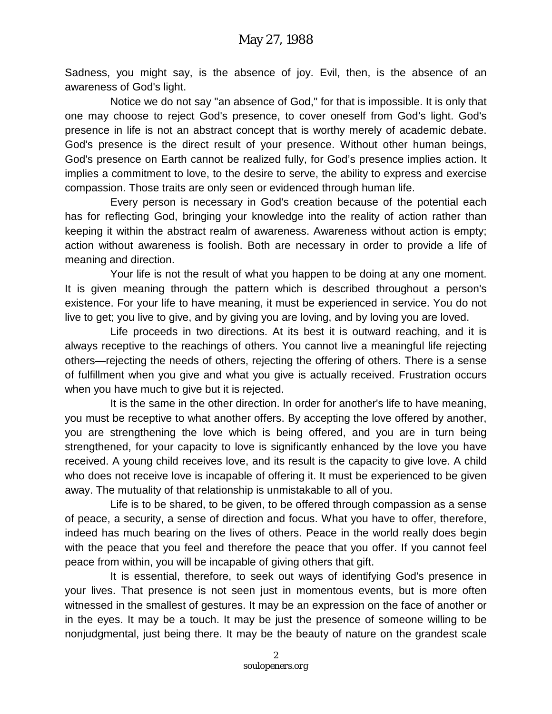Sadness, you might say, is the absence of joy. Evil, then, is the absence of an awareness of God's light.

Notice we do not say "an absence of God," for that is impossible. It is only that one may choose to reject God's presence, to cover oneself from God's light. God's presence in life is not an abstract concept that is worthy merely of academic debate. God's presence is the direct result of your presence. Without other human beings, God's presence on Earth cannot be realized fully, for God's presence implies action. It implies a commitment to love, to the desire to serve, the ability to express and exercise compassion. Those traits are only seen or evidenced through human life.

Every person is necessary in God's creation because of the potential each has for reflecting God, bringing your knowledge into the reality of action rather than keeping it within the abstract realm of awareness. Awareness without action is empty; action without awareness is foolish. Both are necessary in order to provide a life of meaning and direction.

Your life is not the result of what you happen to be doing at any one moment. It is given meaning through the pattern which is described throughout a person's existence. For your life to have meaning, it must be experienced in service. You do not live to get; you live to give, and by giving you are loving, and by loving you are loved.

Life proceeds in two directions. At its best it is outward reaching, and it is always receptive to the reachings of others. You cannot live a meaningful life rejecting others—rejecting the needs of others, rejecting the offering of others. There is a sense of fulfillment when you give and what you give is actually received. Frustration occurs when you have much to give but it is rejected.

It is the same in the other direction. In order for another's life to have meaning, you must be receptive to what another offers. By accepting the love offered by another, you are strengthening the love which is being offered, and you are in turn being strengthened, for your capacity to love is significantly enhanced by the love you have received. A young child receives love, and its result is the capacity to give love. A child who does not receive love is incapable of offering it. It must be experienced to be given away. The mutuality of that relationship is unmistakable to all of you.

Life is to be shared, to be given, to be offered through compassion as a sense of peace, a security, a sense of direction and focus. What you have to offer, therefore, indeed has much bearing on the lives of others. Peace in the world really does begin with the peace that you feel and therefore the peace that you offer. If you cannot feel peace from within, you will be incapable of giving others that gift.

It is essential, therefore, to seek out ways of identifying God's presence in your lives. That presence is not seen just in momentous events, but is more often witnessed in the smallest of gestures. It may be an expression on the face of another or in the eyes. It may be a touch. It may be just the presence of someone willing to be nonjudgmental, just being there. It may be the beauty of nature on the grandest scale